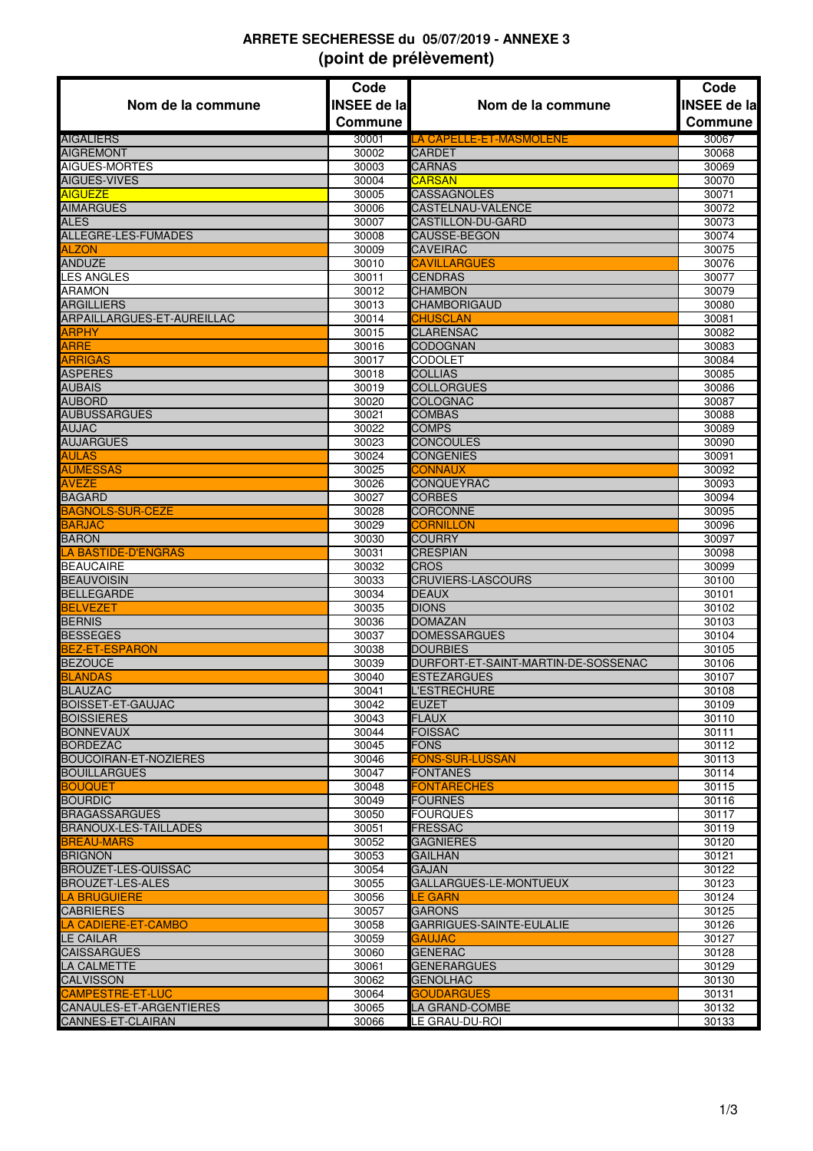## **ARRETE SECHERESSE du 05/07/2019 - ANNEXE 3 (point de prélèvement)**

|                                                      | Code               |                                          | Code               |
|------------------------------------------------------|--------------------|------------------------------------------|--------------------|
| Nom de la commune                                    | <b>INSEE de la</b> | Nom de la commune                        | <b>INSEE de la</b> |
|                                                      | <b>Commune</b>     |                                          | <b>Commune</b>     |
| <b>AIGALIERS</b>                                     | 30001              |                                          | 30067              |
| <b>AIGREMONT</b>                                     | 30002              | LA CAPELLE-ET-MASMOLENE<br><b>CARDET</b> | 30068              |
| AIGUES-MORTES                                        | 30003              | <b>CARNAS</b>                            | 30069              |
| <b>AIGUES-VIVES</b>                                  | 30004              | <b>CARSAN</b>                            | 30070              |
| <b>AIGUEZE</b>                                       | 30005              | <b>CASSAGNOLES</b>                       | 30071              |
| <b>AIMARGUES</b>                                     | 30006              | CASTELNAU-VALENCE                        | 30072              |
| <b>ALES</b>                                          | 30007              | <b>CASTILLON-DU-GARD</b>                 | 30073              |
| <b>ALLEGRE-LES-FUMADES</b>                           | 30008              | CAUSSE-BEGON                             | 30074              |
| <b>ALZON</b>                                         | 30009              | <b>CAVEIRAC</b>                          | 30075              |
| <b>ANDUZE</b>                                        | 30010              | <b>CAVILLARGUES</b>                      | 30076              |
| LES ANGLES                                           | 30011              | <b>CENDRAS</b>                           | 30077              |
| ARAMON                                               | 30012              | <b>CHAMBON</b>                           | 30079              |
| <b>ARGILLIERS</b>                                    | 30013              | <b>CHAMBORIGAUD</b>                      | 30080              |
| ARPAILLARGUES-ET-AUREILLAC                           | 30014              | <b>CHUSCLAN</b>                          | 30081              |
| ARPHY                                                | 30015              | <b>CLARENSAC</b>                         | 30082              |
| <b>ARRE</b>                                          | 30016              | <b>CODOGNAN</b>                          | 30083              |
| <b>ARRIGAS</b>                                       | 30017              | <b>CODOLET</b>                           | 30084              |
| <b>ASPERES</b>                                       | 30018              | <b>COLLIAS</b>                           | 30085              |
| <b>AUBAIS</b>                                        | 30019              | <b>COLLORGUES</b>                        | 30086              |
| <b>AUBORD</b>                                        | 30020              | <b>COLOGNAC</b>                          | 30087              |
| <b>AUBUSSARGUES</b>                                  | 30021              | <b>COMBAS</b>                            | 30088              |
| <b>AUJAC</b>                                         | 30022              | <b>COMPS</b>                             | 30089              |
| <b>AUJARGUES</b>                                     | 30023              | <b>CONCOULES</b>                         | 30090              |
| AULAS                                                | 30024              | <b>CONGENIES</b>                         | 30091              |
| <b>AUMESSAS</b>                                      | 30025              | <b>CONNAUX</b>                           | 30092              |
| <b>AVEZE</b>                                         | 30026              | <b>CONQUEYRAC</b>                        | 30093              |
| <b>BAGARD</b>                                        | 30027              | <b>CORBES</b>                            | 30094              |
| <b>BAGNOLS-SUR-CEZE</b><br><b>BARJAC</b>             | 30028<br>30029     | <b>CORCONNE</b><br><b>CORNILLON</b>      | 30095<br>30096     |
| <b>BARON</b>                                         | 30030              | <b>COURRY</b>                            | 30097              |
| <b>LA BASTIDE-D'ENGRAS</b>                           | 30031              | <b>CRESPIAN</b>                          | 30098              |
| <b>BEAUCAIRE</b>                                     | 30032              | <b>CROS</b>                              | 30099              |
| <b>BEAUVOISIN</b>                                    | 30033              | <b>CRUVIERS-LASCOURS</b>                 | 30100              |
| <b>BELLEGARDE</b>                                    | 30034              | <b>DEAUX</b>                             | 30101              |
| <b>BELVEZET</b>                                      | 30035              | <b>DIONS</b>                             | 30102              |
| <b>BERNIS</b>                                        | 30036              | <b>DOMAZAN</b>                           | 30103              |
| <b>BESSEGES</b>                                      | 30037              | <b>DOMESSARGUES</b>                      | 30104              |
| BEZ-ET-ESPARON                                       | 30038              | <b>DOURBIES</b>                          | 30105              |
| <b>BEZOUCE</b>                                       | 30039              | DURFORT-ET-SAINT-MARTIN-DE-SOSSENAC      | 30106              |
| BLANDAS                                              | 30040              | <b>ESTEZARGUES</b>                       | 30107              |
| <b>BLAUZAC</b>                                       | 30041              | <b>L'ESTRECHURE</b>                      | 30108              |
| <b>BOISSET-ET-GAUJAC</b>                             | 30042              | <b>EUZET</b>                             | 30109              |
| <b>BOISSIERES</b>                                    | 30043              | <b>FLAUX</b>                             | 30110              |
| <b>BONNEVAUX</b>                                     | 30044              | <b>FOISSAC</b>                           | 30111              |
| <b>BORDEZAC</b>                                      | 30045              | <b>FONS</b>                              | 30112              |
| <b>BOUCOIRAN-ET-NOZIERES</b>                         | 30046              | <b>FONS-SUR-LUSSAN</b>                   | 30113              |
| <b>BOUILLARGUES</b>                                  | 30047              | <b>FONTANES</b>                          | 30114              |
| <b>BOUQUET</b>                                       | 30048              | <b>FONTARECHES</b>                       | 30115              |
| <b>BOURDIC</b>                                       | 30049              | <b>FOURNES</b>                           | 30116              |
| <b>BRAGASSARGUES</b><br><b>BRANOUX-LES-TAILLADES</b> | 30050<br>30051     | <b>FOURQUES</b><br><b>FRESSAC</b>        | 30117<br>30119     |
| <b>BREAU-MARS</b>                                    | 30052              | <b>GAGNIERES</b>                         | 30120              |
| <b>BRIGNON</b>                                       | 30053              | <b>GAILHAN</b>                           | 30121              |
| <b>BROUZET-LES-QUISSAC</b>                           | 30054              | <b>GAJAN</b>                             | 30122              |
| <b>BROUZET-LES-ALES</b>                              | 30055              | GALLARGUES-LE-MONTUEUX                   | 30123              |
| <b>LA BRUGUIERE</b>                                  | 30056              | LE GARN                                  | 30124              |
| <b>CABRIERES</b>                                     | 30057              | <b>GARONS</b>                            | 30125              |
| LA CADIERE-ET-CAMBO                                  | 30058              | GARRIGUES-SAINTE-EULALIE                 | 30126              |
| LE CAILAR                                            | 30059              | <b>GAUJAC</b>                            | 30127              |
| <b>CAISSARGUES</b>                                   | 30060              | <b>GENERAC</b>                           | 30128              |
| LA CALMETTE                                          | 30061              | <b>GENERARGUES</b>                       | 30129              |
| <b>CALVISSON</b>                                     | 30062              | <b>GENOLHAC</b>                          | 30130              |
| <b>CAMPESTRE-ET-LUC</b>                              | 30064              | <b>GOUDARGUES</b>                        | 30131              |
| CANAULES-ET-ARGENTIERES                              | 30065              | LA GRAND-COMBE                           | 30132              |
| CANNES-ET-CLAIRAN                                    | 30066              | LE GRAU-DU-ROI                           | 30133              |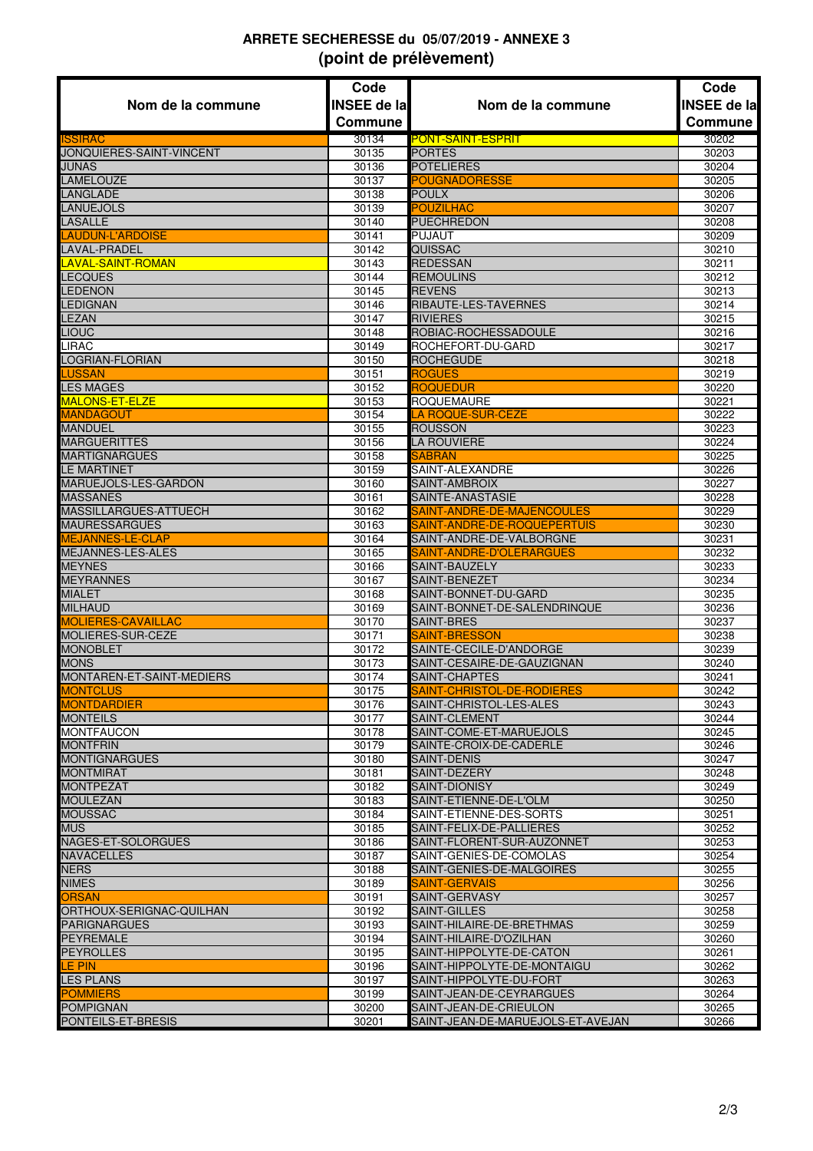## **ARRETE SECHERESSE du 05/07/2019 - ANNEXE 3 (point de prélèvement)**

|                                      | Code               |                                                     | Code               |
|--------------------------------------|--------------------|-----------------------------------------------------|--------------------|
| Nom de la commune                    | <b>INSEE de la</b> | Nom de la commune                                   | <b>INSEE de la</b> |
|                                      | <b>Commune</b>     |                                                     | Commune            |
| <b>ISSIRAC</b>                       | 30134              |                                                     | 30202              |
| JONQUIERES-SAINT-VINCENT             | 30135              | <b>PONT-SAINT-ESPRIT</b><br><b>PORTES</b>           | 30203              |
| <b>JUNAS</b>                         | 30136              | <b>POTELIERES</b>                                   | 30204              |
| <b>LAMELOUZE</b>                     | 30137              | <b>POUGNADORESSE</b>                                | 30205              |
| LANGLADE                             | 30138              | <b>POULX</b>                                        | 30206              |
| <b>LANUEJOLS</b>                     | 30139              | POUZILHAC                                           | 30207              |
| <b>LASALLE</b>                       | 30140              | <b>PUECHREDON</b>                                   | 30208              |
| <b>LAUDUN-L'ARDOISE</b>              | 30141              | <b>PUJAUT</b>                                       | 30209              |
| <b>LAVAL-PRADEL</b>                  | 30142              | <b>QUISSAC</b>                                      | 30210              |
| <b>LAVAL-SAINT-ROMAN</b>             | 30143              | <b>REDESSAN</b>                                     | 30211              |
| <b>LECQUES</b>                       | 30144              | <b>REMOULINS</b>                                    | 30212              |
| <b>LEDENON</b>                       | 30145              | <b>REVENS</b>                                       | 30213              |
| <b>LEDIGNAN</b>                      | 30146              | RIBAUTE-LES-TAVERNES                                | 30214              |
| LEZAN                                | 30147              | <b>RIVIERES</b>                                     | 30215              |
| LIOUC                                | 30148              | ROBIAC-ROCHESSADOULE                                | 30216              |
| LIRAC                                | 30149              | ROCHEFORT-DU-GARD                                   | 30217              |
| LOGRIAN-FLORIAN                      | 30150              | <b>ROCHEGUDE</b>                                    | 30218              |
| <b>LUSSAN</b>                        | 30151              | <b>ROGUES</b>                                       | 30219              |
| <b>LES MAGES</b><br>MALONS-ET-ELZE   | 30152              | <b>ROQUEDUR</b><br><b>ROQUEMAURE</b>                | 30220<br>30221     |
| <b>MANDAGOUT</b>                     | 30153<br>30154     | <b>LA ROQUE-SUR-CEZE</b>                            | 30222              |
| <b>MANDUEL</b>                       | 30155              | <b>ROUSSON</b>                                      | 30223              |
| <b>MARGUERITTES</b>                  | 30156              | <b>LA ROUVIERE</b>                                  | 30224              |
| <b>MARTIGNARGUES</b>                 | 30158              | <b>SABRAN</b>                                       | 30225              |
| <b>LE MARTINET</b>                   | 30159              | SAINT-ALEXANDRE                                     | 30226              |
| MARUEJOLS-LES-GARDON                 | 30160              | SAINT-AMBROIX                                       | 30227              |
| <b>MASSANES</b>                      | 30161              | SAINTE-ANASTASIE                                    | 30228              |
| MASSILLARGUES-ATTUECH                | 30162              | SAINT-ANDRE-DE-MAJENCOULES                          | 30229              |
| <b>MAURESSARGUES</b>                 | 30163              | SAINT-ANDRE-DE-ROQUEPERTUIS                         | 30230              |
| <b>MEJANNES-LE-CLAP</b>              | 30164              | SAINT-ANDRE-DE-VALBORGNE                            | 30231              |
| MEJANNES-LES-ALES                    | 30165              | SAINT-ANDRE-D'OLERARGUES                            | 30232              |
| <b>MEYNES</b>                        | 30166              | SAINT-BAUZELY                                       | 30233              |
| <b>MEYRANNES</b>                     | 30167              | SAINT-BENEZET                                       | 30234              |
| <b>MIALET</b>                        | 30168              | SAINT-BONNET-DU-GARD                                | 30235              |
| <b>MILHAUD</b>                       | 30169              | SAINT-BONNET-DE-SALENDRINQUE                        | 30236              |
| <b>MOLIERES-CAVAILLAC</b>            | 30170              | <b>SAINT-BRES</b>                                   | 30237              |
| MOLIERES-SUR-CEZE                    | 30171              | SAINT-BRESSON                                       | 30238              |
| <b>MONOBLET</b><br><b>MONS</b>       | 30172              | SAINTE-CECILE-D'ANDORGE                             | 30239              |
| MONTAREN-ET-SAINT-MEDIERS            | 30173<br>30174     | SAINT-CESAIRE-DE-GAUZIGNAN<br>SAINT-CHAPTES         | 30240<br>30241     |
| <b>MONTCLUS</b>                      | 30175              | SAINT-CHRISTOL-DE-RODIERES                          | 30242              |
| <b>MONTDARDIER</b>                   | 30176              | SAINT-CHRISTOL-LES-ALES                             | 30243              |
| <b>MONTEILS</b>                      | 30177              | <b>SAINT-CLEMENT</b>                                | 30244              |
| <b>MONTFAUCON</b>                    | 30178              | SAINT-COME-ET-MARUEJOLS                             | 30245              |
| <b>MONTFRIN</b>                      | 30179              | SAINTE-CROIX-DE-CADERLE                             | 30246              |
| <b>MONTIGNARGUES</b>                 | 30180              | <b>SAINT-DENIS</b>                                  | 30247              |
| <b>MONTMIRAT</b>                     | 30181              | SAINT-DEZERY                                        | 30248              |
| <b>MONTPEZAT</b>                     | 30182              | <b>SAINT-DIONISY</b>                                | 30249              |
| <b>MOULEZAN</b>                      | 30183              | SAINT-ETIENNE-DE-L'OLM                              | 30250              |
| <b>MOUSSAC</b>                       | 30184              | SAINT-ETIENNE-DES-SORTS                             | 30251              |
| <b>MUS</b>                           | 30185              | SAINT-FELIX-DE-PALLIERES                            | 30252              |
| NAGES-ET-SOLORGUES                   | 30186              | SAINT-FLORENT-SUR-AUZONNET                          | 30253              |
| <b>NAVACELLES</b>                    | 30187              | SAINT-GENIES-DE-COMOLAS                             | 30254              |
| <b>NERS</b>                          | 30188              | SAINT-GENIES-DE-MALGOIRES                           | 30255              |
| <b>NIMES</b>                         | 30189              | SAINT-GERVAIS                                       | 30256              |
| <b>ORSAN</b>                         | 30191              | SAINT-GERVASY                                       | 30257              |
| ORTHOUX-SERIGNAC-QUILHAN             | 30192              | <b>SAINT-GILLES</b>                                 | 30258              |
| <b>PARIGNARGUES</b>                  | 30193              | SAINT-HILAIRE-DE-BRETHMAS                           | 30259              |
| <b>PEYREMALE</b><br><b>PEYROLLES</b> | 30194<br>30195     | SAINT-HILAIRE-D'OZILHAN<br>SAINT-HIPPOLYTE-DE-CATON | 30260<br>30261     |
| <b>LE PIN</b>                        | 30196              | SAINT-HIPPOLYTE-DE-MONTAIGU                         | 30262              |
| <b>LES PLANS</b>                     | 30197              | SAINT-HIPPOLYTE-DU-FORT                             | 30263              |
| <b>POMMIERS</b>                      | 30199              | SAINT-JEAN-DE-CEYRARGUES                            | 30264              |
| <b>POMPIGNAN</b>                     | 30200              | SAINT-JEAN-DE-CRIEULON                              | 30265              |
| PONTEILS-ET-BRESIS                   | 30201              | SAINT-JEAN-DE-MARUEJOLS-ET-AVEJAN                   | 30266              |